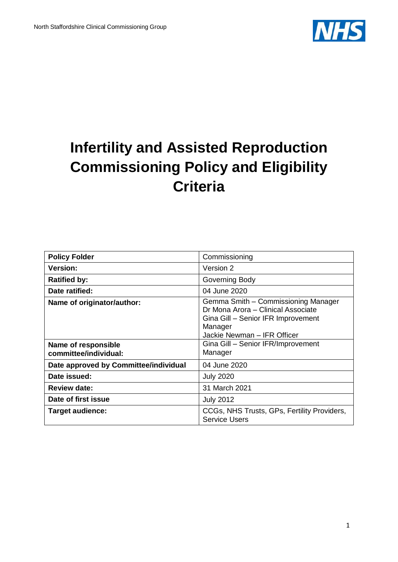

# **Infertility and Assisted Reproduction Commissioning Policy and Eligibility Criteria**

| <b>Policy Folder</b>                         | Commissioning                                                                                                                                             |
|----------------------------------------------|-----------------------------------------------------------------------------------------------------------------------------------------------------------|
| <b>Version:</b>                              | Version 2                                                                                                                                                 |
| <b>Ratified by:</b>                          | Governing Body                                                                                                                                            |
| Date ratified:                               | 04 June 2020                                                                                                                                              |
| Name of originator/author:                   | Gemma Smith - Commissioning Manager<br>Dr Mona Arora - Clinical Associate<br>Gina Gill - Senior IFR Improvement<br>Manager<br>Jackie Newman - IFR Officer |
| Name of responsible<br>committee/individual: | Gina Gill - Senior IFR/Improvement<br>Manager                                                                                                             |
| Date approved by Committee/individual        | 04 June 2020                                                                                                                                              |
| Date issued:                                 | <b>July 2020</b>                                                                                                                                          |
| <b>Review date:</b>                          | 31 March 2021                                                                                                                                             |
| Date of first issue                          | <b>July 2012</b>                                                                                                                                          |
| <b>Target audience:</b>                      | CCGs, NHS Trusts, GPs, Fertility Providers,<br><b>Service Users</b>                                                                                       |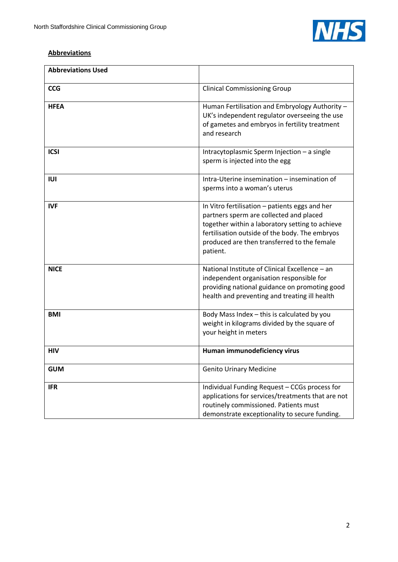

# **Abbreviations**

| <b>Abbreviations Used</b> |                                                                                                                                                                                                                                                           |
|---------------------------|-----------------------------------------------------------------------------------------------------------------------------------------------------------------------------------------------------------------------------------------------------------|
| <b>CCG</b>                | <b>Clinical Commissioning Group</b>                                                                                                                                                                                                                       |
| <b>HFEA</b>               | Human Fertilisation and Embryology Authority -<br>UK's independent regulator overseeing the use<br>of gametes and embryos in fertility treatment<br>and research                                                                                          |
| <b>ICSI</b>               | Intracytoplasmic Sperm Injection - a single<br>sperm is injected into the egg                                                                                                                                                                             |
| IUI                       | Intra-Uterine insemination – insemination of<br>sperms into a woman's uterus                                                                                                                                                                              |
| <b>IVF</b>                | In Vitro fertilisation - patients eggs and her<br>partners sperm are collected and placed<br>together within a laboratory setting to achieve<br>fertilisation outside of the body. The embryos<br>produced are then transferred to the female<br>patient. |
| <b>NICE</b>               | National Institute of Clinical Excellence - an<br>independent organisation responsible for<br>providing national guidance on promoting good<br>health and preventing and treating ill health                                                              |
| <b>BMI</b>                | Body Mass Index - this is calculated by you<br>weight in kilograms divided by the square of<br>your height in meters                                                                                                                                      |
| <b>HIV</b>                | Human immunodeficiency virus                                                                                                                                                                                                                              |
| <b>GUM</b>                | <b>Genito Urinary Medicine</b>                                                                                                                                                                                                                            |
| <b>IFR</b>                | Individual Funding Request - CCGs process for<br>applications for services/treatments that are not<br>routinely commissioned. Patients must<br>demonstrate exceptionality to secure funding.                                                              |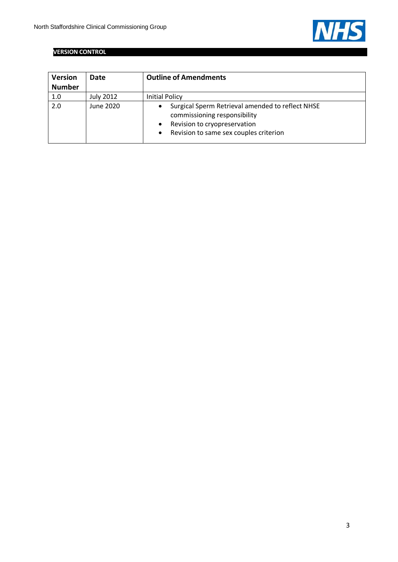

# **VERSION CONTROL**

| <b>Version</b><br><b>Number</b> | Date             | <b>Outline of Amendments</b>                                                                                                                                                              |
|---------------------------------|------------------|-------------------------------------------------------------------------------------------------------------------------------------------------------------------------------------------|
| 1.0                             | <b>July 2012</b> | <b>Initial Policy</b>                                                                                                                                                                     |
| 2.0                             | June 2020        | Surgical Sperm Retrieval amended to reflect NHSE<br>٠<br>commissioning responsibility<br>Revision to cryopreservation<br>$\bullet$<br>Revision to same sex couples criterion<br>$\bullet$ |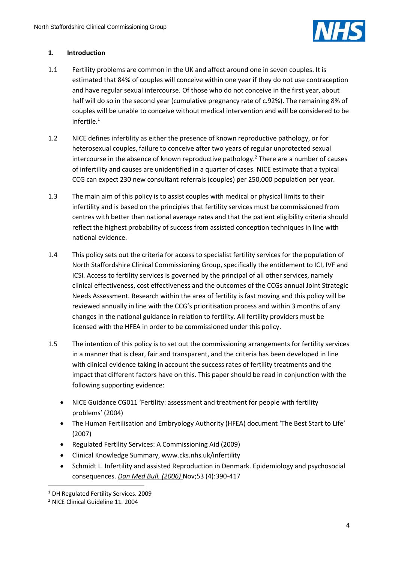

# **1. Introduction**

- 1.1 Fertility problems are common in the UK and affect around one in seven couples. It is estimated that 84% of couples will conceive within one year if they do not use contraception and have regular sexual intercourse. Of those who do not conceive in the first year, about half will do so in the second year (cumulative pregnancy rate of c.92%). The remaining 8% of couples will be unable to conceive without medical intervention and will be considered to be infertile.<sup>1</sup>
- 1.2 NICE defines infertility as either the presence of known reproductive pathology, or for heterosexual couples, failure to conceive after two years of regular unprotected sexual intercourse in the absence of known reproductive pathology.<sup>2</sup> There are a number of causes of infertility and causes are unidentified in a quarter of cases. NICE estimate that a typical CCG can expect 230 new consultant referrals (couples) per 250,000 population per year.
- 1.3 The main aim of this policy is to assist couples with medical or physical limits to their infertility and is based on the principles that fertility services must be commissioned from centres with better than national average rates and that the patient eligibility criteria should reflect the highest probability of success from assisted conception techniques in line with national evidence.
- 1.4 This policy sets out the criteria for access to specialist fertility services for the population of North Staffordshire Clinical Commissioning Group, specifically the entitlement to ICI, IVF and ICSI. Access to fertility services is governed by the principal of all other services, namely clinical effectiveness, cost effectiveness and the outcomes of the CCGs annual Joint Strategic Needs Assessment. Research within the area of fertility is fast moving and this policy will be reviewed annually in line with the CCG's prioritisation process and within 3 months of any changes in the national guidance in relation to fertility. All fertility providers must be licensed with the HFEA in order to be commissioned under this policy.
- 1.5 The intention of this policy is to set out the commissioning arrangements for fertility services in a manner that is clear, fair and transparent, and the criteria has been developed in line with clinical evidence taking in account the success rates of fertility treatments and the impact that different factors have on this. This paper should be read in conjunction with the following supporting evidence:
	- NICE Guidance CG011 'Fertility: assessment and treatment for people with fertility problems' (2004)
	- The Human Fertilisation and Embryology Authority (HFEA) document 'The Best Start to Life' (2007)
	- Regulated Fertility Services: A Commissioning Aid (2009)
	- Clinical Knowledge Summary, www.cks.nhs.uk/infertility
	- Schmidt L. Infertility and assisted Reproduction in Denmark. Epidemiology and psychosocial consequences. *Dan Med Bull. (2006)* Nov;53 (4):390-417

<sup>1</sup> <sup>1</sup> DH Regulated Fertility Services. 2009

<sup>2</sup> NICE Clinical Guideline 11. 2004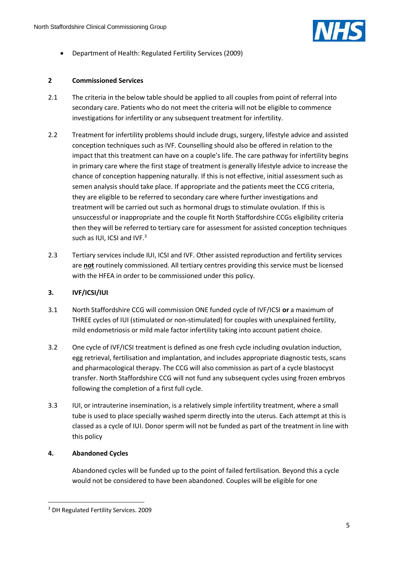

Department of Health: Regulated Fertility Services (2009)

## **2 Commissioned Services**

- 2.1 The criteria in the below table should be applied to all couples from point of referral into secondary care. Patients who do not meet the criteria will not be eligible to commence investigations for infertility or any subsequent treatment for infertility.
- 2.2 Treatment for infertility problems should include drugs, surgery, lifestyle advice and assisted conception techniques such as IVF. Counselling should also be offered in relation to the impact that this treatment can have on a couple's life. The care pathway for infertility begins in primary care where the first stage of treatment is generally lifestyle advice to increase the chance of conception happening naturally. If this is not effective, initial assessment such as semen analysis should take place. If appropriate and the patients meet the CCG criteria, they are eligible to be referred to secondary care where further investigations and treatment will be carried out such as hormonal drugs to stimulate ovulation. If this is unsuccessful or inappropriate and the couple fit North Staffordshire CCGs eligibility criteria then they will be referred to tertiary care for assessment for assisted conception techniques such as IUI, ICSI and IVF.<sup>3</sup>
- 2.3 Tertiary services include IUI, ICSI and IVF. Other assisted reproduction and fertility services are **not** routinely commissioned. All tertiary centres providing this service must be licensed with the HFEA in order to be commissioned under this policy.

# **3. IVF/ICSI/IUI**

- 3.1 North Staffordshire CCG will commission ONE funded cycle of IVF/ICSI **or** a maximum of THREE cycles of IUI (stimulated or non-stimulated) for couples with unexplained fertility, mild endometriosis or mild male factor infertility taking into account patient choice.
- 3.2 One cycle of IVF/ICSI treatment is defined as one fresh cycle including ovulation induction, egg retrieval, fertilisation and implantation, and includes appropriate diagnostic tests, scans and pharmacological therapy. The CCG will also commission as part of a cycle blastocyst transfer. North Staffordshire CCG will not fund any subsequent cycles using frozen embryos following the completion of a first full cycle.
- 3.3 IUI, or intrauterine insemination, is a relatively simple infertility treatment, where a small tube is used to place specially washed sperm directly into the uterus. Each attempt at this is classed as a cycle of IUI. Donor sperm will not be funded as part of the treatment in line with this policy

# **4. Abandoned Cycles**

-

Abandoned cycles will be funded up to the point of failed fertilisation. Beyond this a cycle would not be considered to have been abandoned. Couples will be eligible for one

<sup>3</sup> DH Regulated Fertility Services. 2009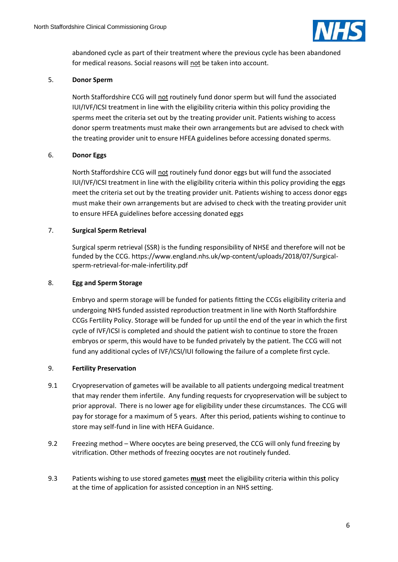

abandoned cycle as part of their treatment where the previous cycle has been abandoned for medical reasons. Social reasons will not be taken into account.

#### 5. **Donor Sperm**

North Staffordshire CCG will not routinely fund donor sperm but will fund the associated IUI/IVF/ICSI treatment in line with the eligibility criteria within this policy providing the sperms meet the criteria set out by the treating provider unit. Patients wishing to access donor sperm treatments must make their own arrangements but are advised to check with the treating provider unit to ensure HFEA guidelines before accessing donated sperms.

#### 6. **Donor Eggs**

North Staffordshire CCG will not routinely fund donor eggs but will fund the associated IUI/IVF/ICSI treatment in line with the eligibility criteria within this policy providing the eggs meet the criteria set out by the treating provider unit. Patients wishing to access donor eggs must make their own arrangements but are advised to check with the treating provider unit to ensure HFEA guidelines before accessing donated eggs

#### 7. **Surgical Sperm Retrieval**

Surgical sperm retrieval (SSR) is the funding responsibility of NHSE and therefore will not be funded by the CCG. https://www.england.nhs.uk/wp-content/uploads/2018/07/Surgicalsperm-retrieval-for-male-infertility.pdf

#### 8. **Egg and Sperm Storage**

Embryo and sperm storage will be funded for patients fitting the CCGs eligibility criteria and undergoing NHS funded assisted reproduction treatment in line with North Staffordshire CCGs Fertility Policy. Storage will be funded for up until the end of the year in which the first cycle of IVF/ICSI is completed and should the patient wish to continue to store the frozen embryos or sperm, this would have to be funded privately by the patient. The CCG will not fund any additional cycles of IVF/ICSI/IUI following the failure of a complete first cycle.

# 9. **Fertility Preservation**

- 9.1 Cryopreservation of gametes will be available to all patients undergoing medical treatment that may render them infertile. Any funding requests for cryopreservation will be subject to prior approval. There is no lower age for eligibility under these circumstances. The CCG will pay for storage for a maximum of 5 years. After this period, patients wishing to continue to store may self-fund in line with HEFA Guidance.
- 9.2 Freezing method Where oocytes are being preserved, the CCG will only fund freezing by vitrification. Other methods of freezing oocytes are not routinely funded.
- 9.3 Patients wishing to use stored gametes **must** meet the eligibility criteria within this policy at the time of application for assisted conception in an NHS setting.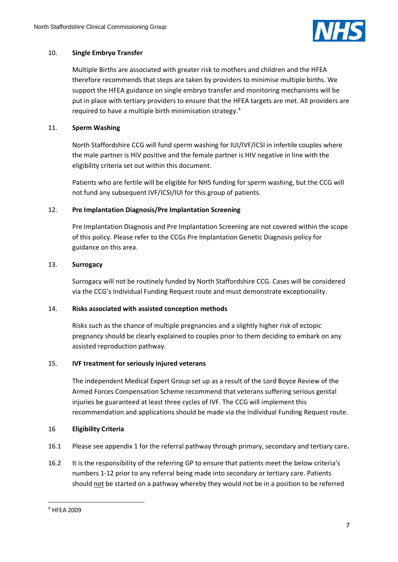

## 10. **Single Embryo Transfer**

Multiple Births are associated with greater risk to mothers and children and the HFEA therefore recommends that steps are taken by providers to minimise multiple births. We support the HFEA guidance on single embryo transfer and monitoring mechanisms will be put in place with tertiary providers to ensure that the HFEA targets are met. All providers are required to have a multiple birth minimisation strategy.<sup>4</sup>

## 11. **Sperm Washing**

North Staffordshire CCG will fund sperm washing for IUI/IVF/ICSI in infertile couples where the male partner is HIV positive and the female partner is HIV negative in line with the eligibility criteria set out within this document.

Patients who are fertile will be eligible for NHS funding for sperm washing, but the CCG will not fund any subsequent IVF/ICSI/IUI for this group of patients.

#### 12. **Pre Implantation Diagnosis/Pre Implantation Screening**

Pre Implantation Diagnosis and Pre Implantation Screening are not covered within the scope of this policy. Please refer to the CCGs Pre Implantation Genetic Diagnosis policy for guidance on this area.

#### 13. **Surrogacy**

Surrogacy will not be routinely funded by North Staffordshire CCG. Cases will be considered via the CCG's Individual Funding Request route and must demonstrate exceptionality.

#### 14. **Risks associated with assisted conception methods**

Risks such as the chance of multiple pregnancies and a slightly higher risk of ectopic pregnancy should be clearly explained to couples prior to them deciding to embark on any assisted reproduction pathway.

#### 15. **IVF treatment for seriously injured veterans**

The independent Medical Expert Group set up as a result of the Lord Boyce Review of the Armed Forces Compensation Scheme recommend that veterans suffering serious genital injuries be guaranteed at least three cycles of IVF. The CCG will implement this recommendation and applications should be made via the Individual Funding Request route.

#### 16 **Eligibility Criteria**

- 16.1 Please see appendix 1 for the referral pathway through primary, secondary and tertiary care**.**
- 16.2 It is the responsibility of the referring GP to ensure that patients meet the below criteria's numbers 1-12 prior to any referral being made into secondary or tertiary care. Patients should not be started on a pathway whereby they would not be in a position to be referred

-

<sup>4</sup> HFEA 2009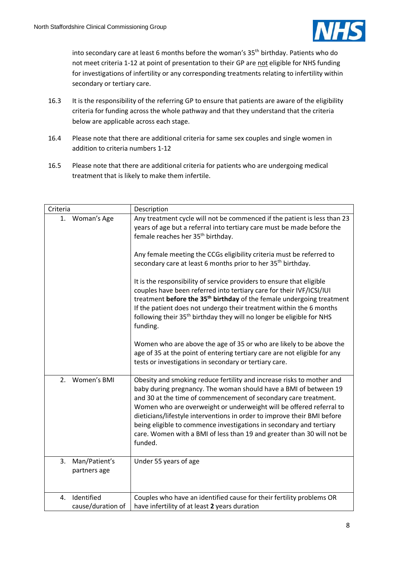

into secondary care at least 6 months before the woman's 35<sup>th</sup> birthday. Patients who do not meet criteria 1-12 at point of presentation to their GP are not eligible for NHS funding for investigations of infertility or any corresponding treatments relating to infertility within secondary or tertiary care.

- 16.3 It is the responsibility of the referring GP to ensure that patients are aware of the eligibility criteria for funding across the whole pathway and that they understand that the criteria below are applicable across each stage.
- 16.4 Please note that there are additional criteria for same sex couples and single women in addition to criteria numbers 1-12
- 16.5 Please note that there are additional criteria for patients who are undergoing medical treatment that is likely to make them infertile.

| Criteria                              | Description                                                                                                                                                                                                                                                                                                                                                                                                                                                                                                                |
|---------------------------------------|----------------------------------------------------------------------------------------------------------------------------------------------------------------------------------------------------------------------------------------------------------------------------------------------------------------------------------------------------------------------------------------------------------------------------------------------------------------------------------------------------------------------------|
| 1. Woman's Age                        | Any treatment cycle will not be commenced if the patient is less than 23<br>years of age but a referral into tertiary care must be made before the<br>female reaches her 35 <sup>th</sup> birthday.                                                                                                                                                                                                                                                                                                                        |
|                                       | Any female meeting the CCGs eligibility criteria must be referred to<br>secondary care at least 6 months prior to her 35 <sup>th</sup> birthday.                                                                                                                                                                                                                                                                                                                                                                           |
|                                       | It is the responsibility of service providers to ensure that eligible<br>couples have been referred into tertiary care for their IVF/ICSI/IUI<br>treatment before the 35 <sup>th</sup> birthday of the female undergoing treatment<br>If the patient does not undergo their treatment within the 6 months<br>following their 35 <sup>th</sup> birthday they will no longer be eligible for NHS<br>funding.                                                                                                                 |
|                                       | Women who are above the age of 35 or who are likely to be above the<br>age of 35 at the point of entering tertiary care are not eligible for any<br>tests or investigations in secondary or tertiary care.                                                                                                                                                                                                                                                                                                                 |
| Women's BMI<br>2.                     | Obesity and smoking reduce fertility and increase risks to mother and<br>baby during pregnancy. The woman should have a BMI of between 19<br>and 30 at the time of commencement of secondary care treatment.<br>Women who are overweight or underweight will be offered referral to<br>dieticians/lifestyle interventions in order to improve their BMI before<br>being eligible to commence investigations in secondary and tertiary<br>care. Women with a BMI of less than 19 and greater than 30 will not be<br>funded. |
| Man/Patient's<br>3.<br>partners age   | Under 55 years of age                                                                                                                                                                                                                                                                                                                                                                                                                                                                                                      |
| Identified<br>4.<br>cause/duration of | Couples who have an identified cause for their fertility problems OR<br>have infertility of at least 2 years duration                                                                                                                                                                                                                                                                                                                                                                                                      |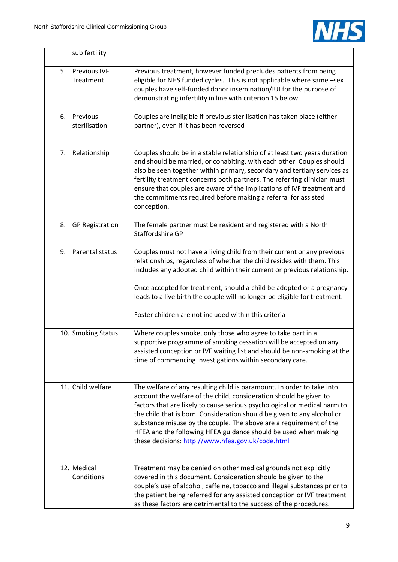

| sub fertility                   |                                                                                                                                                                                                                                                                                                                                                                                                                                                                                                    |
|---------------------------------|----------------------------------------------------------------------------------------------------------------------------------------------------------------------------------------------------------------------------------------------------------------------------------------------------------------------------------------------------------------------------------------------------------------------------------------------------------------------------------------------------|
| 5.<br>Previous IVF<br>Treatment | Previous treatment, however funded precludes patients from being<br>eligible for NHS funded cycles. This is not applicable where same -sex<br>couples have self-funded donor insemination/IUI for the purpose of<br>demonstrating infertility in line with criterion 15 below.                                                                                                                                                                                                                     |
| Previous<br>6.<br>sterilisation | Couples are ineligible if previous sterilisation has taken place (either<br>partner), even if it has been reversed                                                                                                                                                                                                                                                                                                                                                                                 |
| Relationship<br>7.              | Couples should be in a stable relationship of at least two years duration<br>and should be married, or cohabiting, with each other. Couples should<br>also be seen together within primary, secondary and tertiary services as<br>fertility treatment concerns both partners. The referring clinician must<br>ensure that couples are aware of the implications of IVF treatment and<br>the commitments required before making a referral for assisted<br>conception.                              |
| <b>GP Registration</b><br>8.    | The female partner must be resident and registered with a North<br>Staffordshire GP                                                                                                                                                                                                                                                                                                                                                                                                                |
| Parental status<br>9.           | Couples must not have a living child from their current or any previous<br>relationships, regardless of whether the child resides with them. This<br>includes any adopted child within their current or previous relationship.<br>Once accepted for treatment, should a child be adopted or a pregnancy<br>leads to a live birth the couple will no longer be eligible for treatment.<br>Foster children are not included within this criteria                                                     |
| 10. Smoking Status              | Where couples smoke, only those who agree to take part in a<br>supportive programme of smoking cessation will be accepted on any<br>assisted conception or IVF waiting list and should be non-smoking at the<br>time of commencing investigations within secondary care.                                                                                                                                                                                                                           |
| 11. Child welfare               | The welfare of any resulting child is paramount. In order to take into<br>account the welfare of the child, consideration should be given to<br>factors that are likely to cause serious psychological or medical harm to<br>the child that is born. Consideration should be given to any alcohol or<br>substance misuse by the couple. The above are a requirement of the<br>HFEA and the following HFEA guidance should be used when making<br>these decisions: http://www.hfea.gov.uk/code.html |
| 12. Medical<br>Conditions       | Treatment may be denied on other medical grounds not explicitly<br>covered in this document. Consideration should be given to the<br>couple's use of alcohol, caffeine, tobacco and illegal substances prior to<br>the patient being referred for any assisted conception or IVF treatment<br>as these factors are detrimental to the success of the procedures.                                                                                                                                   |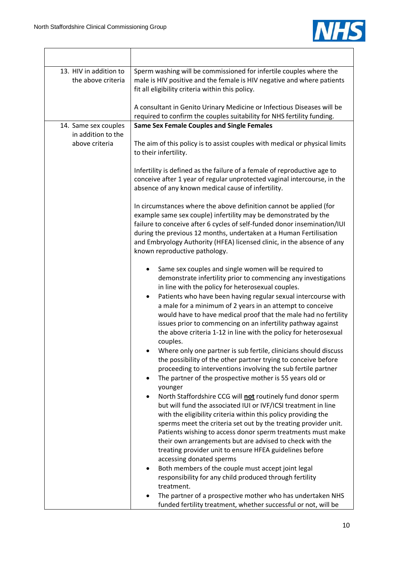

| 13. HIV in addition to<br>the above criteria | Sperm washing will be commissioned for infertile couples where the<br>male is HIV positive and the female is HIV negative and where patients<br>fit all eligibility criteria within this policy.                                                                                                                                                                                                                                                                                                                                                                                                                                                                                                                                                                                                                                                                                                                                                                                                                                                                                                                                                                                                                                                                                                                                                                                                                                                                                                                                                                                                       |
|----------------------------------------------|--------------------------------------------------------------------------------------------------------------------------------------------------------------------------------------------------------------------------------------------------------------------------------------------------------------------------------------------------------------------------------------------------------------------------------------------------------------------------------------------------------------------------------------------------------------------------------------------------------------------------------------------------------------------------------------------------------------------------------------------------------------------------------------------------------------------------------------------------------------------------------------------------------------------------------------------------------------------------------------------------------------------------------------------------------------------------------------------------------------------------------------------------------------------------------------------------------------------------------------------------------------------------------------------------------------------------------------------------------------------------------------------------------------------------------------------------------------------------------------------------------------------------------------------------------------------------------------------------------|
|                                              | A consultant in Genito Urinary Medicine or Infectious Diseases will be<br>required to confirm the couples suitability for NHS fertility funding.                                                                                                                                                                                                                                                                                                                                                                                                                                                                                                                                                                                                                                                                                                                                                                                                                                                                                                                                                                                                                                                                                                                                                                                                                                                                                                                                                                                                                                                       |
| 14. Same sex couples                         | <b>Same Sex Female Couples and Single Females</b>                                                                                                                                                                                                                                                                                                                                                                                                                                                                                                                                                                                                                                                                                                                                                                                                                                                                                                                                                                                                                                                                                                                                                                                                                                                                                                                                                                                                                                                                                                                                                      |
| in addition to the<br>above criteria         | The aim of this policy is to assist couples with medical or physical limits<br>to their infertility.                                                                                                                                                                                                                                                                                                                                                                                                                                                                                                                                                                                                                                                                                                                                                                                                                                                                                                                                                                                                                                                                                                                                                                                                                                                                                                                                                                                                                                                                                                   |
|                                              | Infertility is defined as the failure of a female of reproductive age to<br>conceive after 1 year of regular unprotected vaginal intercourse, in the<br>absence of any known medical cause of infertility.                                                                                                                                                                                                                                                                                                                                                                                                                                                                                                                                                                                                                                                                                                                                                                                                                                                                                                                                                                                                                                                                                                                                                                                                                                                                                                                                                                                             |
|                                              | In circumstances where the above definition cannot be applied (for<br>example same sex couple) infertility may be demonstrated by the<br>failure to conceive after 6 cycles of self-funded donor insemination/IUI<br>during the previous 12 months, undertaken at a Human Fertilisation<br>and Embryology Authority (HFEA) licensed clinic, in the absence of any<br>known reproductive pathology.                                                                                                                                                                                                                                                                                                                                                                                                                                                                                                                                                                                                                                                                                                                                                                                                                                                                                                                                                                                                                                                                                                                                                                                                     |
|                                              | Same sex couples and single women will be required to<br>demonstrate infertility prior to commencing any investigations<br>in line with the policy for heterosexual couples.<br>Patients who have been having regular sexual intercourse with<br>$\bullet$<br>a male for a minimum of 2 years in an attempt to conceive<br>would have to have medical proof that the male had no fertility<br>issues prior to commencing on an infertility pathway against<br>the above criteria 1-12 in line with the policy for heterosexual<br>couples.<br>Where only one partner is sub fertile, clinicians should discuss<br>the possibility of the other partner trying to conceive before<br>proceeding to interventions involving the sub fertile partner<br>The partner of the prospective mother is 55 years old or<br>$\bullet$<br>younger<br>North Staffordshire CCG will not routinely fund donor sperm<br>٠<br>but will fund the associated IUI or IVF/ICSI treatment in line<br>with the eligibility criteria within this policy providing the<br>sperms meet the criteria set out by the treating provider unit.<br>Patients wishing to access donor sperm treatments must make<br>their own arrangements but are advised to check with the<br>treating provider unit to ensure HFEA guidelines before<br>accessing donated sperms<br>Both members of the couple must accept joint legal<br>٠<br>responsibility for any child produced through fertility<br>treatment.<br>The partner of a prospective mother who has undertaken NHS<br>funded fertility treatment, whether successful or not, will be |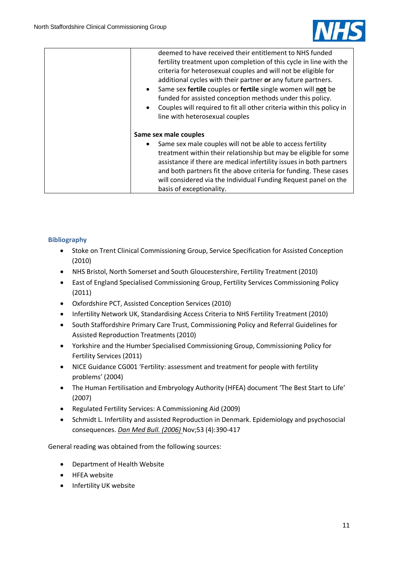

| deemed to have received their entitlement to NHS funded<br>fertility treatment upon completion of this cycle in line with the<br>criteria for heterosexual couples and will not be eligible for<br>additional cycles with their partner or any future partners.<br>Same sex fertile couples or fertile single women will not be<br>funded for assisted conception methods under this policy.<br>Couples will required to fit all other criteria within this policy in<br>line with heterosexual couples |
|---------------------------------------------------------------------------------------------------------------------------------------------------------------------------------------------------------------------------------------------------------------------------------------------------------------------------------------------------------------------------------------------------------------------------------------------------------------------------------------------------------|
| Same sex male couples                                                                                                                                                                                                                                                                                                                                                                                                                                                                                   |
| Same sex male couples will not be able to access fertility<br>٠<br>treatment within their relationship but may be eligible for some<br>assistance if there are medical infertility issues in both partners<br>and both partners fit the above criteria for funding. These cases<br>will considered via the Individual Funding Request panel on the<br>basis of exceptionality.                                                                                                                          |

# **Bibliography**

- Stoke on Trent Clinical Commissioning Group, Service Specification for Assisted Conception (2010)
- NHS Bristol, North Somerset and South Gloucestershire, Fertility Treatment (2010)
- East of England Specialised Commissioning Group, Fertility Services Commissioning Policy (2011)
- Oxfordshire PCT, Assisted Conception Services (2010)
- Infertility Network UK, Standardising Access Criteria to NHS Fertility Treatment (2010)
- South Staffordshire Primary Care Trust, Commissioning Policy and Referral Guidelines for Assisted Reproduction Treatments (2010)
- Yorkshire and the Humber Specialised Commissioning Group, Commissioning Policy for Fertility Services (2011)
- NICE Guidance CG001 'Fertility: assessment and treatment for people with fertility problems' (2004)
- The Human Fertilisation and Embryology Authority (HFEA) document 'The Best Start to Life' (2007)
- Regulated Fertility Services: A Commissioning Aid (2009)
- Schmidt L. Infertility and assisted Reproduction in Denmark. Epidemiology and psychosocial consequences. *Dan Med Bull. (2006)* Nov;53 (4):390-417

General reading was obtained from the following sources:

- Department of Health Website
- HFEA website
- Infertility UK website